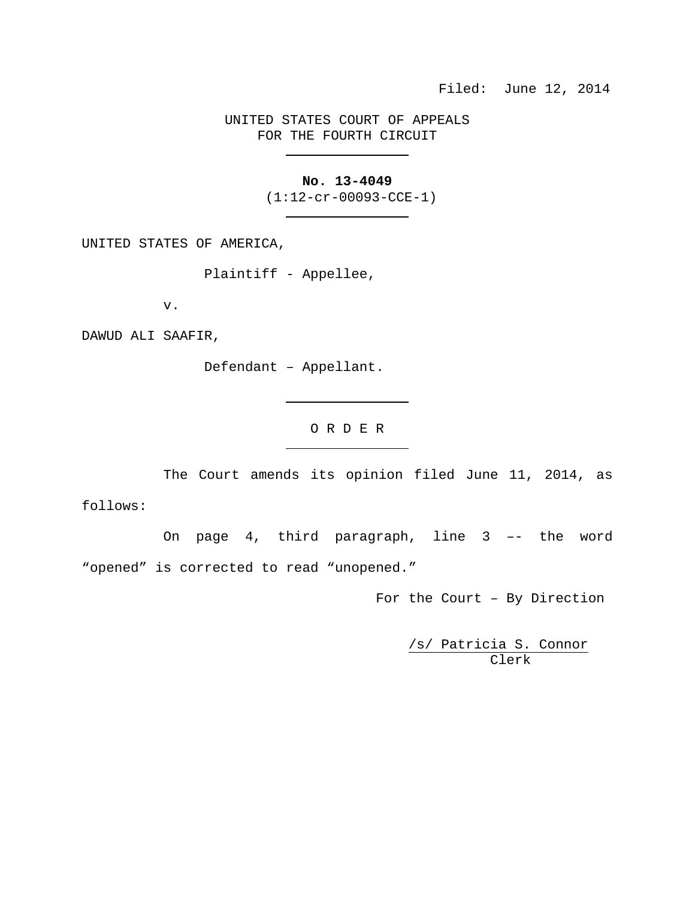## UNITED STATES COURT OF APPEALS FOR THE FOURTH CIRCUIT

## **No. 13-4049**

(1:12-cr-00093-CCE-1)

UNITED STATES OF AMERICA,

Plaintiff - Appellee,

v.

DAWUD ALI SAAFIR,

Defendant – Appellant.

O R D E R

The Court amends its opinion filed June 11, 2014, as

follows:

On page 4, third paragraph, line 3 –- the word "opened" is corrected to read "unopened."

For the Court – By Direction

/s/ Patricia S. Connor Clerk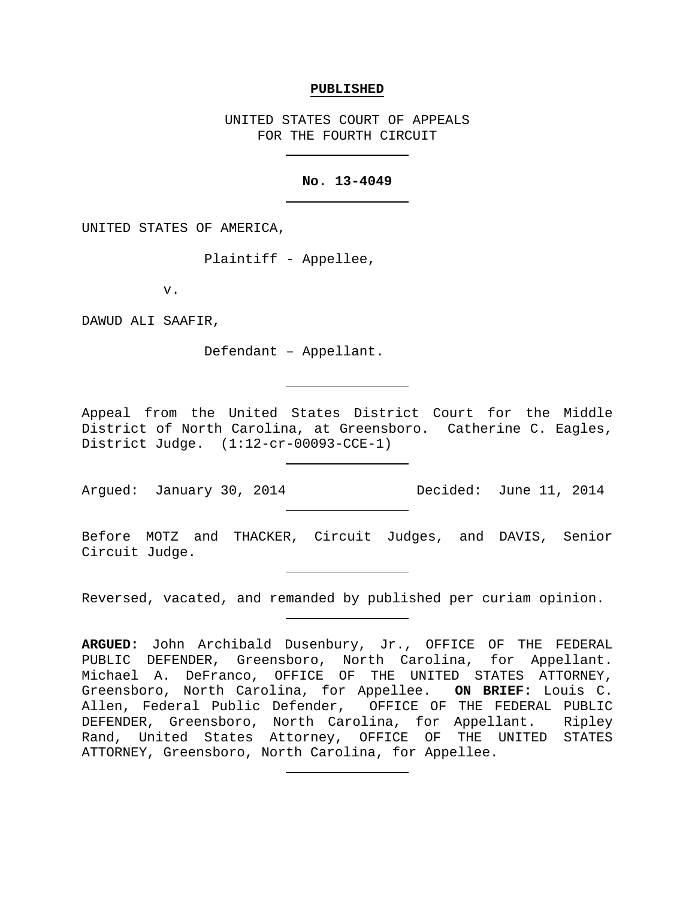#### **PUBLISHED**

UNITED STATES COURT OF APPEALS FOR THE FOURTH CIRCUIT

### **No. 13-4049**

UNITED STATES OF AMERICA,

Plaintiff - Appellee,

v.

DAWUD ALI SAAFIR,

Defendant – Appellant.

Appeal from the United States District Court for the Middle District of North Carolina, at Greensboro. Catherine C. Eagles, District Judge. (1:12-cr-00093-CCE-1)

Argued: January 30, 2014 Decided: June 11, 2014

Before MOTZ and THACKER, Circuit Judges, and DAVIS, Senior Circuit Judge.

Reversed, vacated, and remanded by published per curiam opinion.

**ARGUED:** John Archibald Dusenbury, Jr., OFFICE OF THE FEDERAL PUBLIC DEFENDER, Greensboro, North Carolina, for Appellant. Michael A. DeFranco, OFFICE OF THE UNITED STATES ATTORNEY, Greensboro, North Carolina, for Appellee. **ON BRIEF:** Louis C. Allen, Federal Public Defender, OFFICE OF THE FEDERAL PUBLIC DEFENDER, Greensboro, North Carolina, for Appellant. Ripley Rand, United States Attorney, OFFICE OF THE UNITED STATES ATTORNEY, Greensboro, North Carolina, for Appellee.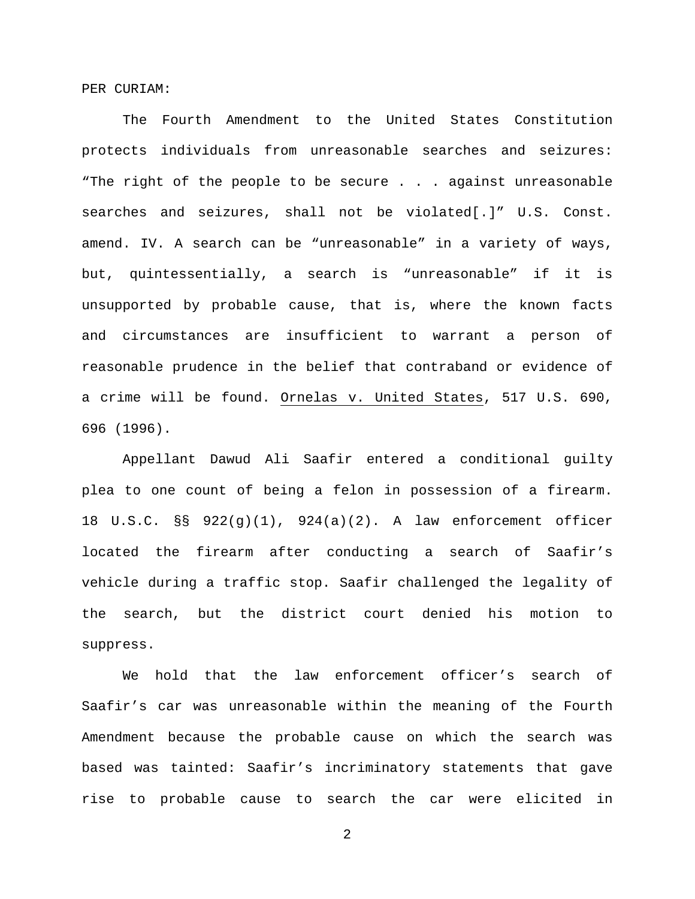PER CURIAM:

The Fourth Amendment to the United States Constitution protects individuals from unreasonable searches and seizures: "The right of the people to be secure . . . against unreasonable searches and seizures, shall not be violated[.]" U.S. Const. amend. IV. A search can be "unreasonable" in a variety of ways, but, quintessentially, a search is "unreasonable" if it is unsupported by probable cause, that is, where the known facts and circumstances are insufficient to warrant a person of reasonable prudence in the belief that contraband or evidence of a crime will be found. Ornelas v. United States, 517 U.S. 690, 696 (1996).

Appellant Dawud Ali Saafir entered a conditional guilty plea to one count of being a felon in possession of a firearm. 18 U.S.C. §§ 922(g)(1), 924(a)(2). A law enforcement officer located the firearm after conducting a search of Saafir's vehicle during a traffic stop. Saafir challenged the legality of the search, but the district court denied his motion to suppress.

We hold that the law enforcement officer's search of Saafir's car was unreasonable within the meaning of the Fourth Amendment because the probable cause on which the search was based was tainted: Saafir's incriminatory statements that gave rise to probable cause to search the car were elicited in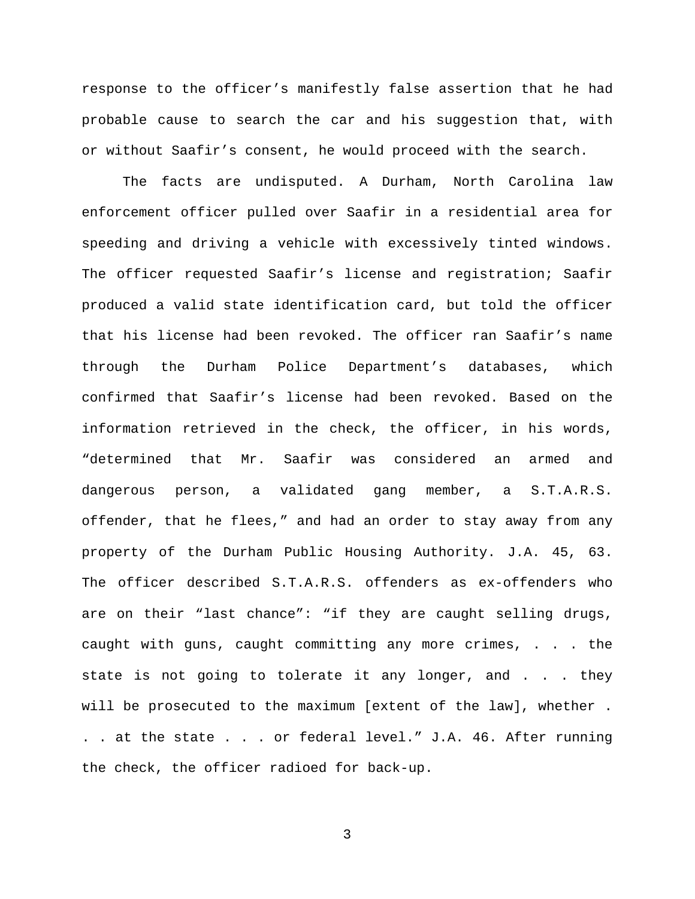response to the officer's manifestly false assertion that he had probable cause to search the car and his suggestion that, with or without Saafir's consent, he would proceed with the search.

The facts are undisputed. A Durham, North Carolina law enforcement officer pulled over Saafir in a residential area for speeding and driving a vehicle with excessively tinted windows. The officer requested Saafir's license and registration; Saafir produced a valid state identification card, but told the officer that his license had been revoked. The officer ran Saafir's name through the Durham Police Department's databases, which confirmed that Saafir's license had been revoked. Based on the information retrieved in the check, the officer, in his words, "determined that Mr. Saafir was considered an armed and dangerous person, a validated gang member, a S.T.A.R.S. offender, that he flees," and had an order to stay away from any property of the Durham Public Housing Authority. J.A. 45, 63. The officer described S.T.A.R.S. offenders as ex-offenders who are on their "last chance": "if they are caught selling drugs, caught with guns, caught committing any more crimes, . . . the state is not going to tolerate it any longer, and . . . they will be prosecuted to the maximum [extent of the law], whether . . . at the state . . . or federal level." J.A. 46. After running the check, the officer radioed for back-up.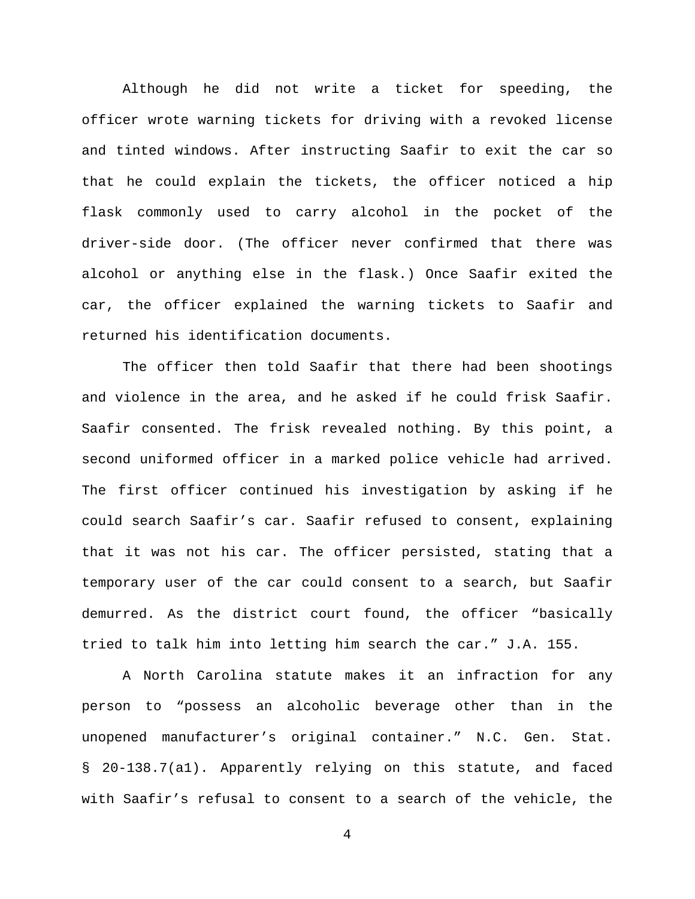Although he did not write a ticket for speeding, the officer wrote warning tickets for driving with a revoked license and tinted windows. After instructing Saafir to exit the car so that he could explain the tickets, the officer noticed a hip flask commonly used to carry alcohol in the pocket of the driver-side door. (The officer never confirmed that there was alcohol or anything else in the flask.) Once Saafir exited the car, the officer explained the warning tickets to Saafir and returned his identification documents.

The officer then told Saafir that there had been shootings and violence in the area, and he asked if he could frisk Saafir. Saafir consented. The frisk revealed nothing. By this point, a second uniformed officer in a marked police vehicle had arrived. The first officer continued his investigation by asking if he could search Saafir's car. Saafir refused to consent, explaining that it was not his car. The officer persisted, stating that a temporary user of the car could consent to a search, but Saafir demurred. As the district court found, the officer "basically tried to talk him into letting him search the car." J.A. 155.

A North Carolina statute makes it an infraction for any person to "possess an alcoholic beverage other than in the unopened manufacturer's original container." N.C. Gen. Stat. § 20-138.7(a1). Apparently relying on this statute, and faced with Saafir's refusal to consent to a search of the vehicle, the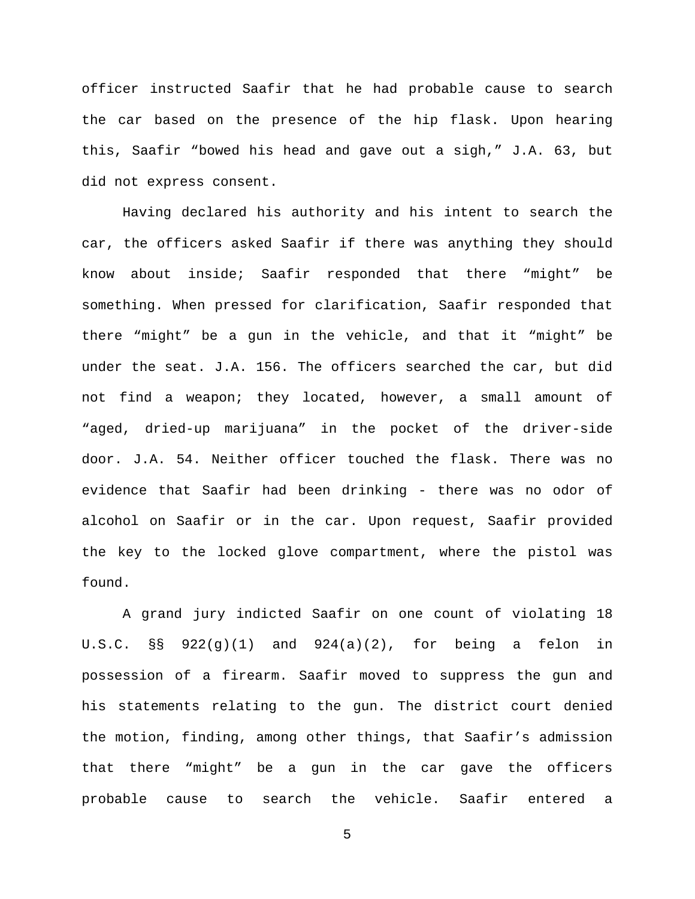officer instructed Saafir that he had probable cause to search the car based on the presence of the hip flask. Upon hearing this, Saafir "bowed his head and gave out a sigh," J.A. 63, but did not express consent.

Having declared his authority and his intent to search the car, the officers asked Saafir if there was anything they should know about inside; Saafir responded that there "might" be something. When pressed for clarification, Saafir responded that there "might" be a gun in the vehicle, and that it "might" be under the seat. J.A. 156. The officers searched the car, but did not find a weapon; they located, however, a small amount of "aged, dried-up marijuana" in the pocket of the driver-side door. J.A. 54. Neither officer touched the flask. There was no evidence that Saafir had been drinking - there was no odor of alcohol on Saafir or in the car. Upon request, Saafir provided the key to the locked glove compartment, where the pistol was found.

A grand jury indicted Saafir on one count of violating 18 U.S.C. §§ 922(g)(1) and 924(a)(2), for being a felon in possession of a firearm. Saafir moved to suppress the gun and his statements relating to the gun. The district court denied the motion, finding, among other things, that Saafir's admission that there "might" be a gun in the car gave the officers probable cause to search the vehicle. Saafir entered a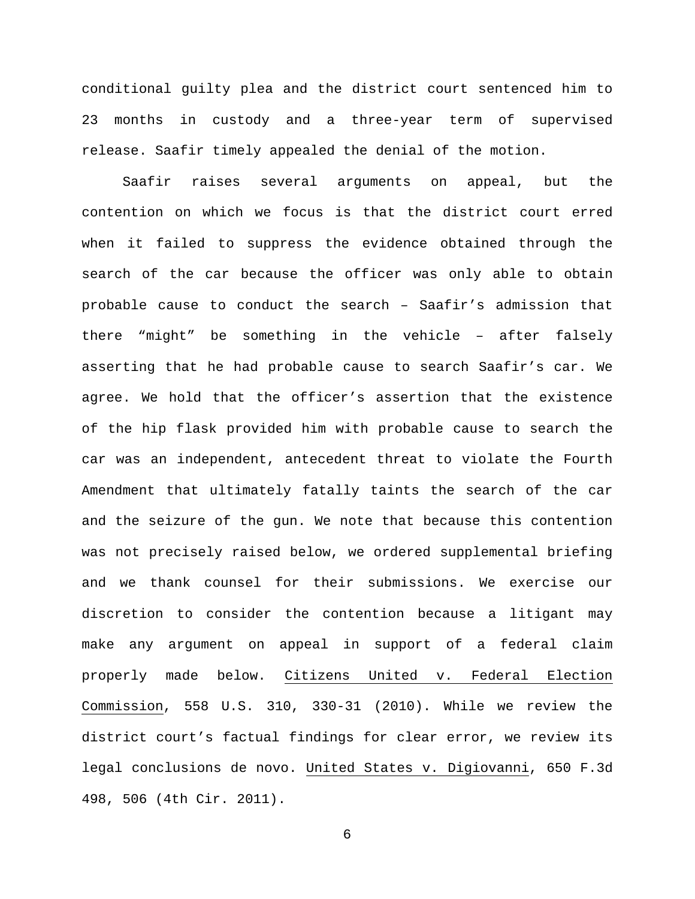conditional guilty plea and the district court sentenced him to 23 months in custody and a three-year term of supervised release. Saafir timely appealed the denial of the motion.

Saafir raises several arguments on appeal, but the contention on which we focus is that the district court erred when it failed to suppress the evidence obtained through the search of the car because the officer was only able to obtain probable cause to conduct the search – Saafir's admission that there "might" be something in the vehicle – after falsely asserting that he had probable cause to search Saafir's car. We agree. We hold that the officer's assertion that the existence of the hip flask provided him with probable cause to search the car was an independent, antecedent threat to violate the Fourth Amendment that ultimately fatally taints the search of the car and the seizure of the gun. We note that because this contention was not precisely raised below, we ordered supplemental briefing and we thank counsel for their submissions. We exercise our discretion to consider the contention because a litigant may make any argument on appeal in support of a federal claim properly made below. Citizens United v. Federal Election Commission, 558 U.S. 310, 330-31 (2010). While we review the district court's factual findings for clear error, we review its legal conclusions de novo. United States v. Digiovanni, 650 F.3d 498, 506 (4th Cir. 2011).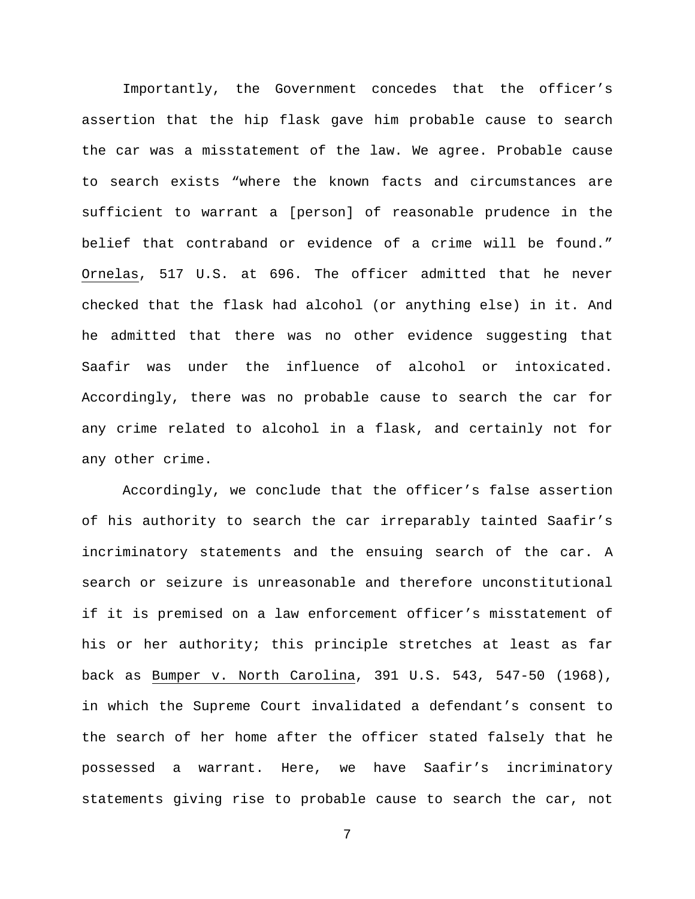Importantly, the Government concedes that the officer's assertion that the hip flask gave him probable cause to search the car was a misstatement of the law. We agree. Probable cause to search exists "where the known facts and circumstances are sufficient to warrant a [person] of reasonable prudence in the belief that contraband or evidence of a crime will be found." Ornelas, 517 U.S. at 696. The officer admitted that he never checked that the flask had alcohol (or anything else) in it. And he admitted that there was no other evidence suggesting that Saafir was under the influence of alcohol or intoxicated. Accordingly, there was no probable cause to search the car for any crime related to alcohol in a flask, and certainly not for any other crime.

Accordingly, we conclude that the officer's false assertion of his authority to search the car irreparably tainted Saafir's incriminatory statements and the ensuing search of the car. A search or seizure is unreasonable and therefore unconstitutional if it is premised on a law enforcement officer's misstatement of his or her authority; this principle stretches at least as far back as Bumper v. North Carolina, 391 U.S. 543, 547-50 (1968), in which the Supreme Court invalidated a defendant's consent to the search of her home after the officer stated falsely that he possessed a warrant. Here, we have Saafir's incriminatory statements giving rise to probable cause to search the car, not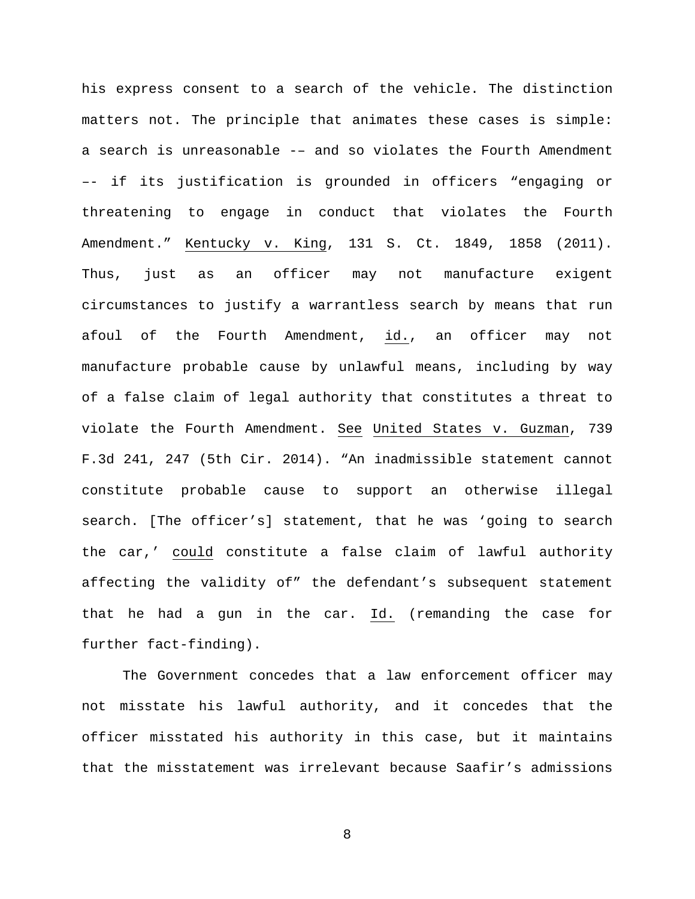his express consent to a search of the vehicle. The distinction matters not. The principle that animates these cases is simple: a search is unreasonable -– and so violates the Fourth Amendment –- if its justification is grounded in officers "engaging or threatening to engage in conduct that violates the Fourth Amendment." Kentucky v. King, 131 S. Ct. 1849, 1858 (2011). Thus, just as an officer may not manufacture exigent circumstances to justify a warrantless search by means that run afoul of the Fourth Amendment, id., an officer may not manufacture probable cause by unlawful means, including by way of a false claim of legal authority that constitutes a threat to violate the Fourth Amendment. See United States v. Guzman, 739 F.3d 241, 247 (5th Cir. 2014). "An inadmissible statement cannot constitute probable cause to support an otherwise illegal search. [The officer's] statement, that he was 'going to search the car,' could constitute a false claim of lawful authority affecting the validity of" the defendant's subsequent statement that he had a gun in the car. Id. (remanding the case for further fact-finding).

The Government concedes that a law enforcement officer may not misstate his lawful authority, and it concedes that the officer misstated his authority in this case, but it maintains that the misstatement was irrelevant because Saafir's admissions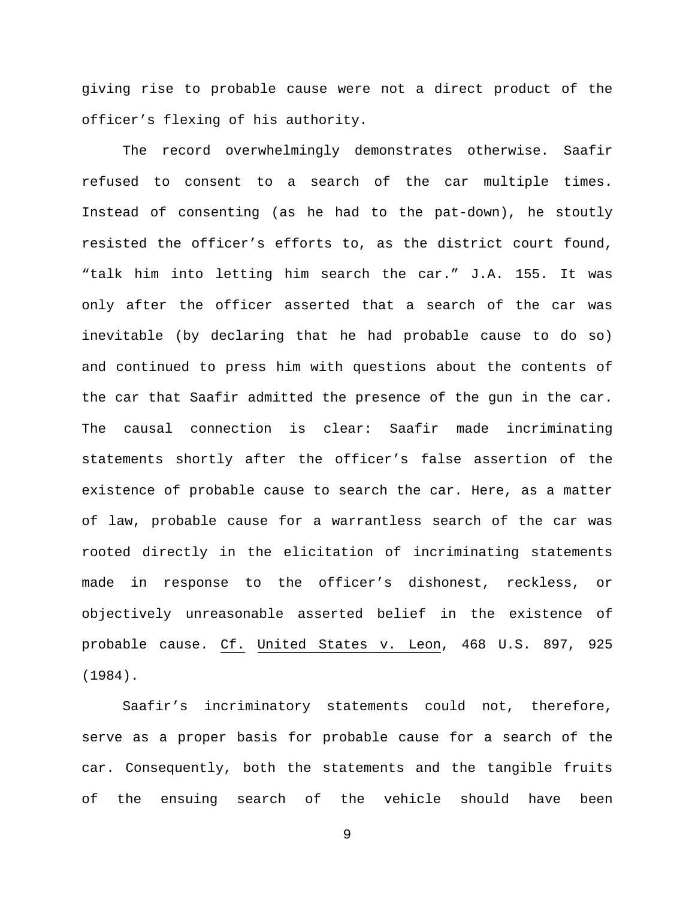giving rise to probable cause were not a direct product of the officer's flexing of his authority.

The record overwhelmingly demonstrates otherwise. Saafir refused to consent to a search of the car multiple times. Instead of consenting (as he had to the pat-down), he stoutly resisted the officer's efforts to, as the district court found, "talk him into letting him search the car." J.A. 155. It was only after the officer asserted that a search of the car was inevitable (by declaring that he had probable cause to do so) and continued to press him with questions about the contents of the car that Saafir admitted the presence of the gun in the car. The causal connection is clear: Saafir made incriminating statements shortly after the officer's false assertion of the existence of probable cause to search the car. Here, as a matter of law, probable cause for a warrantless search of the car was rooted directly in the elicitation of incriminating statements made in response to the officer's dishonest, reckless, or objectively unreasonable asserted belief in the existence of probable cause. Cf. United States v. Leon, 468 U.S. 897, 925 (1984).

Saafir's incriminatory statements could not, therefore, serve as a proper basis for probable cause for a search of the car. Consequently, both the statements and the tangible fruits of the ensuing search of the vehicle should have been